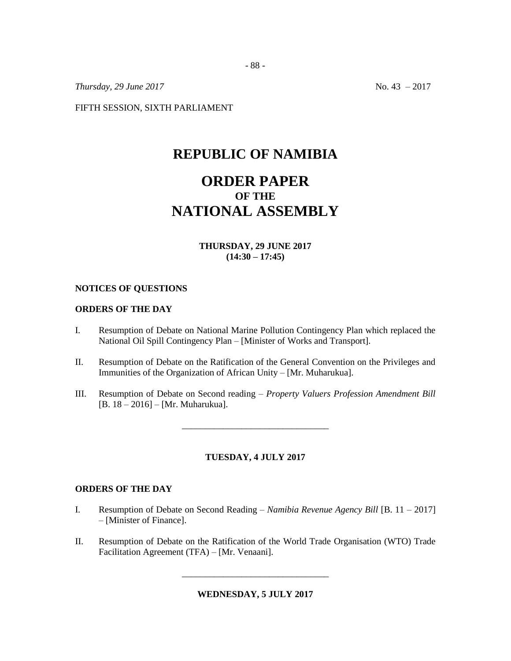*Thursday, 29 June 2017* No. 43 – 2017

FIFTH SESSION, SIXTH PARLIAMENT

## **REPUBLIC OF NAMIBIA**

# **ORDER PAPER OF THE NATIONAL ASSEMBLY**

## **THURSDAY, 29 JUNE 2017 (14:30 – 17:45)**

## **NOTICES OF QUESTIONS**

## **ORDERS OF THE DAY**

- I. Resumption of Debate on National Marine Pollution Contingency Plan which replaced the National Oil Spill Contingency Plan – [Minister of Works and Transport].
- II. Resumption of Debate on the Ratification of the General Convention on the Privileges and Immunities of the Organization of African Unity – [Mr. Muharukua].
- III. Resumption of Debate on Second reading *Property Valuers Profession Amendment Bill*  [B. 18 – 2016] – [Mr. Muharukua].

\_\_\_\_\_\_\_\_\_\_\_\_\_\_\_\_\_\_\_\_\_\_\_\_\_\_\_\_\_\_\_\_

## **TUESDAY, 4 JULY 2017**

## **ORDERS OF THE DAY**

- I. Resumption of Debate on Second Reading *Namibia Revenue Agency Bill* [B. 11 2017] – [Minister of Finance].
- II. Resumption of Debate on the Ratification of the World Trade Organisation (WTO) Trade Facilitation Agreement (TFA) – [Mr. Venaani].

**WEDNESDAY, 5 JULY 2017**

\_\_\_\_\_\_\_\_\_\_\_\_\_\_\_\_\_\_\_\_\_\_\_\_\_\_\_\_\_\_\_\_